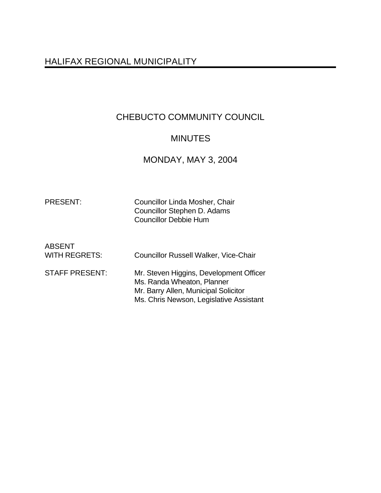# HALIFAX REGIONAL MUNICIPALITY

# CHEBUCTO COMMUNITY COUNCIL

# **MINUTES**

# MONDAY, MAY 3, 2004

| <b>PRESENT:</b> |  |
|-----------------|--|
|                 |  |

Councillor Linda Mosher, Chair Councillor Stephen D. Adams Councillor Debbie Hum

| ABSENT<br>WITH REGRETS: | <b>Councillor Russell Walker, Vice-Chair</b>                                                                                                             |
|-------------------------|----------------------------------------------------------------------------------------------------------------------------------------------------------|
| <b>STAFF PRESENT:</b>   | Mr. Steven Higgins, Development Officer<br>Ms. Randa Wheaton, Planner<br>Mr. Barry Allen, Municipal Solicitor<br>Ms. Chris Newson, Legislative Assistant |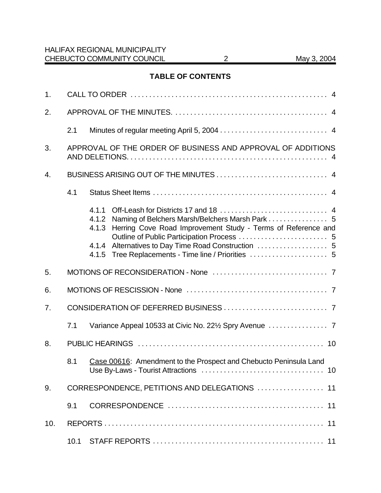# **TABLE OF CONTENTS**

| 1.             |     |                                                                                                                                                     |
|----------------|-----|-----------------------------------------------------------------------------------------------------------------------------------------------------|
| 2.             |     |                                                                                                                                                     |
|                | 2.1 |                                                                                                                                                     |
| 3.             |     | APPROVAL OF THE ORDER OF BUSINESS AND APPROVAL OF ADDITIONS                                                                                         |
| 4.             |     |                                                                                                                                                     |
|                | 4.1 |                                                                                                                                                     |
|                |     | 4.1.1<br>Naming of Belchers Marsh/Belchers Marsh Park  5<br>4.1.2<br>Herring Cove Road Improvement Study - Terms of Reference and<br>4.1.3<br>4.1.5 |
| 5.             |     |                                                                                                                                                     |
| 6.             |     |                                                                                                                                                     |
| 7 <sub>1</sub> |     |                                                                                                                                                     |
|                | 7.1 |                                                                                                                                                     |
| 8.             |     |                                                                                                                                                     |
|                | 8.1 | Case 00616: Amendment to the Prospect and Chebucto Peninsula Land                                                                                   |
| 9.             |     | CORRESPONDENCE, PETITIONS AND DELEGATIONS  11                                                                                                       |
|                | 9.1 |                                                                                                                                                     |
| 10.            |     |                                                                                                                                                     |
|                |     |                                                                                                                                                     |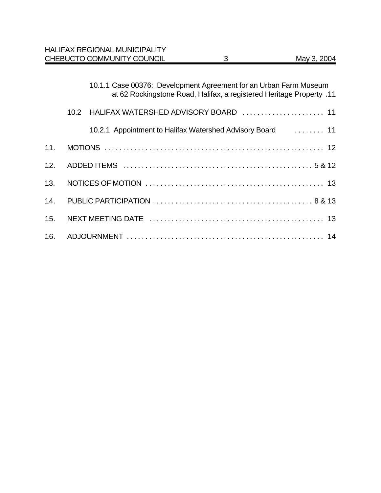|     |      | <b>HALIFAX REGIONAL MUNICIPALITY</b><br>CHEBUCTO COMMUNITY COUNCIL | 3 | May 3, 2004                                                          |
|-----|------|--------------------------------------------------------------------|---|----------------------------------------------------------------------|
|     |      |                                                                    |   |                                                                      |
|     |      | 10.1.1 Case 00376: Development Agreement for an Urban Farm Museum  |   | at 62 Rockingstone Road, Halifax, a registered Heritage Property .11 |
|     | 10.2 | HALIFAX WATERSHED ADVISORY BOARD  11                               |   |                                                                      |
|     |      | 10.2.1 Appointment to Halifax Watershed Advisory Board  11         |   |                                                                      |
| 11. |      |                                                                    |   |                                                                      |
| 12. |      |                                                                    |   |                                                                      |
| 13. |      |                                                                    |   |                                                                      |
| 14. |      |                                                                    |   |                                                                      |
| 15. |      |                                                                    |   |                                                                      |
| 16. |      |                                                                    |   |                                                                      |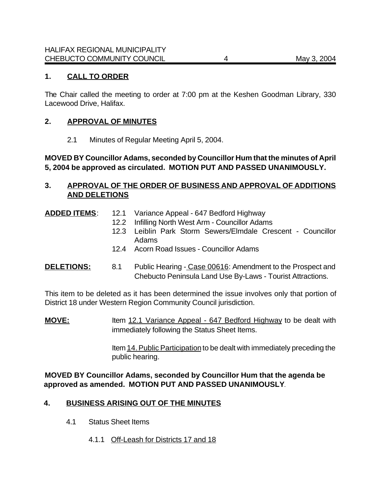## **1. CALL TO ORDER**

The Chair called the meeting to order at 7:00 pm at the Keshen Goodman Library, 330 Lacewood Drive, Halifax.

#### **2. APPROVAL OF MINUTES**

2.1 Minutes of Regular Meeting April 5, 2004.

## **MOVED BY Councillor Adams, seconded by Councillor Hum that the minutes of April 5, 2004 be approved as circulated. MOTION PUT AND PASSED UNANIMOUSLY.**

### **3. APPROVAL OF THE ORDER OF BUSINESS AND APPROVAL OF ADDITIONS AND DELETIONS**

- **ADDED ITEMS**: 12.1 Variance Appeal 647 Bedford Highway
	- 12.2 Infilling North West Arm Councillor Adams
		- 12.3 Leiblin Park Storm Sewers/Elmdale Crescent Councillor Adams
	- 12.4 Acorn Road Issues Councillor Adams

### **DELETIONS:** 8.1 Public Hearing - Case 00616: Amendment to the Prospect and Chebucto Peninsula Land Use By-Laws - Tourist Attractions.

This item to be deleted as it has been determined the issue involves only that portion of District 18 under Western Region Community Council jurisdiction.

**MOVE:** Item 12.1 Variance Appeal - 647 Bedford Highway to be dealt with immediately following the Status Sheet Items.

> Item 14. Public Participation to be dealt with immediately preceding the public hearing.

**MOVED BY Councillor Adams, seconded by Councillor Hum that the agenda be approved as amended. MOTION PUT AND PASSED UNANIMOUSLY**.

#### **4. BUSINESS ARISING OUT OF THE MINUTES**

- 4.1 Status Sheet Items
	- 4.1.1 Off-Leash for Districts 17 and 18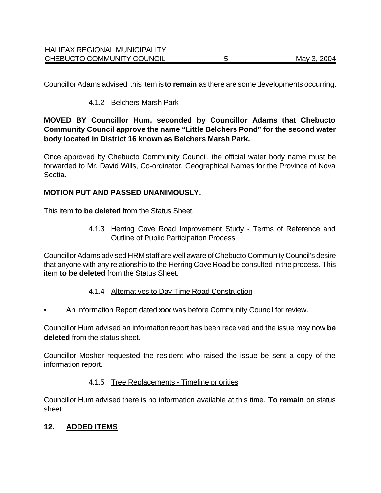Councillor Adams advised this item is **to remain** as there are some developments occurring.

## 4.1.2 Belchers Marsh Park

**MOVED BY Councillor Hum, seconded by Councillor Adams that Chebucto Community Council approve the name "Little Belchers Pond" for the second water body located in District 16 known as Belchers Marsh Park.**

Once approved by Chebucto Community Council, the official water body name must be forwarded to Mr. David Wills, Co-ordinator, Geographical Names for the Province of Nova Scotia.

### **MOTION PUT AND PASSED UNANIMOUSLY.**

This item **to be deleted** from the Status Sheet.

4.1.3 Herring Cove Road Improvement Study - Terms of Reference and Outline of Public Participation Process

Councillor Adams advised HRM staff are well aware of Chebucto Community Council's desire that anyone with any relationship to the Herring Cove Road be consulted in the process. This item **to be deleted** from the Status Sheet.

#### 4.1.4 Alternatives to Day Time Road Construction

• An Information Report dated **xxx** was before Community Council for review.

Councillor Hum advised an information report has been received and the issue may now **be deleted** from the status sheet.

Councillor Mosher requested the resident who raised the issue be sent a copy of the information report.

#### 4.1.5 Tree Replacements - Timeline priorities

Councillor Hum advised there is no information available at this time. **To remain** on status sheet.

# **12. ADDED ITEMS**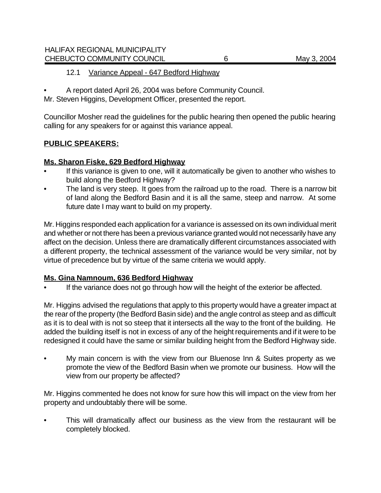#### 12.1 Variance Appeal - 647 Bedford Highway

• A report dated April 26, 2004 was before Community Council.

Mr. Steven Higgins, Development Officer, presented the report.

Councillor Mosher read the guidelines for the public hearing then opened the public hearing calling for any speakers for or against this variance appeal.

# **PUBLIC SPEAKERS:**

# **Ms. Sharon Fiske, 629 Bedford Highway**

- If this variance is given to one, will it automatically be given to another who wishes to build along the Bedford Highway?
- The land is very steep. It goes from the railroad up to the road. There is a narrow bit of land along the Bedford Basin and it is all the same, steep and narrow. At some future date I may want to build on my property.

Mr. Higgins responded each application for a variance is assessed on its own individual merit and whether or not there has been a previous variance granted would not necessarily have any affect on the decision. Unless there are dramatically different circumstances associated with a different property, the technical assessment of the variance would be very similar, not by virtue of precedence but by virtue of the same criteria we would apply.

# **Ms. Gina Namnoum, 636 Bedford Highway**

If the variance does not go through how will the height of the exterior be affected.

Mr. Higgins advised the regulations that apply to this property would have a greater impact at the rear of the property (the Bedford Basin side) and the angle control as steep and as difficult as it is to deal with is not so steep that it intersects all the way to the front of the building. He added the building itself is not in excess of any of the height requirements and if it were to be redesigned it could have the same or similar building height from the Bedford Highway side.

My main concern is with the view from our Bluenose Inn & Suites property as we promote the view of the Bedford Basin when we promote our business. How will the view from our property be affected?

Mr. Higgins commented he does not know for sure how this will impact on the view from her property and undoubtably there will be some.

This will dramatically affect our business as the view from the restaurant will be completely blocked.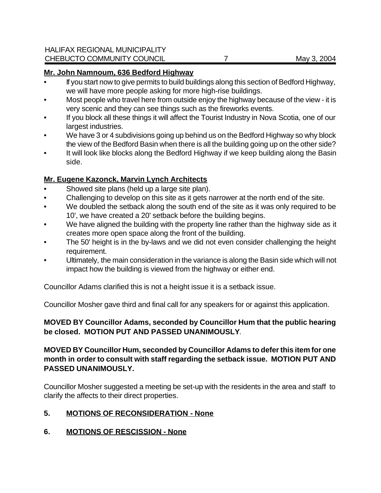#### **Mr. John Namnoum, 636 Bedford Highway**

- If you start now to give permits to build buildings along this section of Bedford Highway, we will have more people asking for more high-rise buildings.
- Most people who travel here from outside enjoy the highway because of the view it is very scenic and they can see things such as the fireworks events.
- If you block all these things it will affect the Tourist Industry in Nova Scotia, one of our largest industries.
- We have 3 or 4 subdivisions going up behind us on the Bedford Highway so why block the view of the Bedford Basin when there is all the building going up on the other side?
- It will look like blocks along the Bedford Highway if we keep building along the Basin side.

# **Mr. Eugene Kazonck, Marvin Lynch Architects**

- Showed site plans (held up a large site plan).
- Challenging to develop on this site as it gets narrower at the north end of the site.
- We doubled the setback along the south end of the site as it was only required to be 10', we have created a 20' setback before the building begins.
- We have aligned the building with the property line rather than the highway side as it creates more open space along the front of the building.
- The 50' height is in the by-laws and we did not even consider challenging the height requirement.
- Ultimately, the main consideration in the variance is along the Basin side which will not impact how the building is viewed from the highway or either end.

Councillor Adams clarified this is not a height issue it is a setback issue.

Councillor Mosher gave third and final call for any speakers for or against this application.

# **MOVED BY Councillor Adams, seconded by Councillor Hum that the public hearing be closed. MOTION PUT AND PASSED UNANIMOUSLY**.

## **MOVED BY Councillor Hum, seconded by Councillor Adams to defer this item for one month in order to consult with staff regarding the setback issue. MOTION PUT AND PASSED UNANIMOUSLY.**

Councillor Mosher suggested a meeting be set-up with the residents in the area and staff to clarify the affects to their direct properties.

# **5. MOTIONS OF RECONSIDERATION - None**

# **6. MOTIONS OF RESCISSION - None**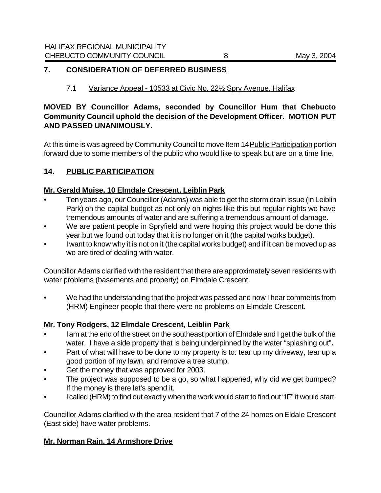#### **7. CONSIDERATION OF DEFERRED BUSINESS**

## 7.1 Variance Appeal **-** 10533 at Civic No. 22½ Spry Avenue, Halifax

# **MOVED BY Councillor Adams, seconded by Councillor Hum that Chebucto Community Council uphold the decision of the Development Officer. MOTION PUT AND PASSED UNANIMOUSLY.**

At this time is was agreed by Community Council to move Item 14 Public Participation portion forward due to some members of the public who would like to speak but are on a time line.

### **14. PUBLIC PARTICIPATION**

#### **Mr. Gerald Muise, 10 Elmdale Crescent, Leiblin Park**

- Ten years ago, our Councillor (Adams) was able to get the storm drain issue (in Leiblin Park) on the capital budget as not only on nights like this but regular nights we have tremendous amounts of water and are suffering a tremendous amount of damage.
- We are patient people in Spryfield and were hoping this project would be done this year but we found out today that it is no longer on it (the capital works budget).
- I want to know why it is not on it (the capital works budget) and if it can be moved up as we are tired of dealing with water.

Councillor Adams clarified with the resident that there are approximately seven residents with water problems (basements and property) on Elmdale Crescent.

We had the understanding that the project was passed and now I hear comments from (HRM) Engineer people that there were no problems on Elmdale Crescent.

# **Mr. Tony Rodgers, 12 Elmdale Crescent, Leiblin Park**

- I am at the end of the street on the southeast portion of Elmdale and I get the bulk of the water. I have a side property that is being underpinned by the water "splashing out"**.**
- Part of what will have to be done to my property is to: tear up my driveway, tear up a good portion of my lawn, and remove a tree stump.
- Get the money that was approved for 2003.
- The project was supposed to be a go, so what happened, why did we get bumped? If the money is there let's spend it.
- I called (HRM) to find out exactly when the work would start to find out "IF" it would start.

Councillor Adams clarified with the area resident that 7 of the 24 homes on Eldale Crescent (East side) have water problems.

#### **Mr. Norman Rain, 14 Armshore Drive**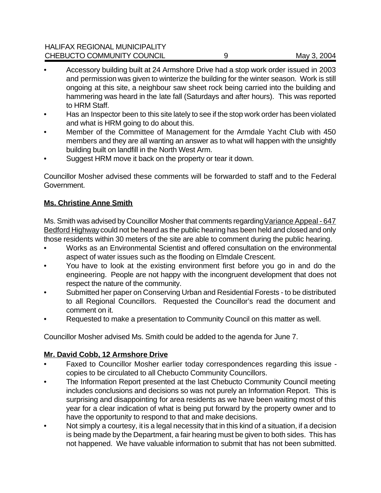- Accessory building built at 24 Armshore Drive had a stop work order issued in 2003 and permission was given to winterize the building for the winter season. Work is still ongoing at this site, a neighbour saw sheet rock being carried into the building and hammering was heard in the late fall (Saturdays and after hours). This was reported to HRM Staff.
- Has an Inspector been to this site lately to see if the stop work order has been violated and what is HRM going to do about this.
- Member of the Committee of Management for the Armdale Yacht Club with 450 members and they are all wanting an answer as to what will happen with the unsightly building built on landfill in the North West Arm.
- Suggest HRM move it back on the property or tear it down.

Councillor Mosher advised these comments will be forwarded to staff and to the Federal Government.

# **Ms. Christine Anne Smith**

Ms. Smith was advised by Councillor Mosher that comments regarding Variance Appeal - 647 Bedford Highway could not be heard as the public hearing has been held and closed and only those residents within 30 meters of the site are able to comment during the public hearing.

- Works as an Environmental Scientist and offered consultation on the environmental aspect of water issues such as the flooding on Elmdale Crescent.
- You have to look at the existing environment first before you go in and do the engineering. People are not happy with the incongruent development that does not respect the nature of the community.
- Submitted her paper on Conserving Urban and Residential Forests to be distributed to all Regional Councillors. Requested the Councillor's read the document and comment on it.
- Requested to make a presentation to Community Council on this matter as well.

Councillor Mosher advised Ms. Smith could be added to the agenda for June 7.

# **Mr. David Cobb, 12 Armshore Drive**

- Faxed to Councillor Mosher earlier today correspondences regarding this issue copies to be circulated to all Chebucto Community Councillors.
- The Information Report presented at the last Chebucto Community Council meeting includes conclusions and decisions so was not purely an Information Report. This is surprising and disappointing for area residents as we have been waiting most of this year for a clear indication of what is being put forward by the property owner and to have the opportunity to respond to that and make decisions.
- Not simply a courtesy, it is a legal necessity that in this kind of a situation, if a decision is being made by the Department, a fair hearing must be given to both sides. This has not happened. We have valuable information to submit that has not been submitted.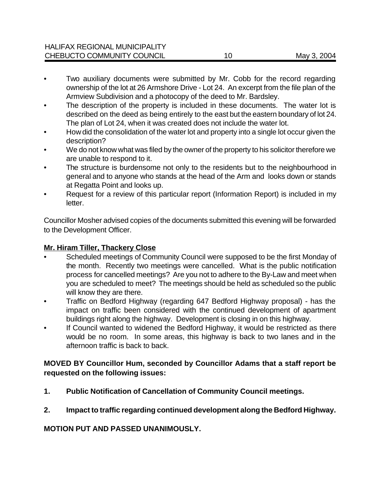- Two auxiliary documents were submitted by Mr. Cobb for the record regarding ownership of the lot at 26 Armshore Drive - Lot 24. An excerpt from the file plan of the Armview Subdivision and a photocopy of the deed to Mr. Bardsley.
- The description of the property is included in these documents. The water lot is described on the deed as being entirely to the east but the eastern boundary of lot 24. The plan of Lot 24, when it was created does not include the water lot.
- How did the consolidation of the water lot and property into a single lot occur given the description?
- We do not know what was filed by the owner of the property to his solicitor therefore we are unable to respond to it.
- The structure is burdensome not only to the residents but to the neighbourhood in general and to anyone who stands at the head of the Arm and looks down or stands at Regatta Point and looks up.
- Request for a review of this particular report (Information Report) is included in my letter.

Councillor Mosher advised copies of the documents submitted this evening will be forwarded to the Development Officer.

## **Mr. Hiram Tiller, Thackery Close**

- Scheduled meetings of Community Council were supposed to be the first Monday of the month. Recently two meetings were cancelled. What is the public notification process for cancelled meetings? Are you not to adhere to the By-Law and meet when you are scheduled to meet? The meetings should be held as scheduled so the public will know they are there.
- Traffic on Bedford Highway (regarding 647 Bedford Highway proposal) has the impact on traffic been considered with the continued development of apartment buildings right along the highway. Development is closing in on this highway.
- If Council wanted to widened the Bedford Highway, it would be restricted as there would be no room. In some areas, this highway is back to two lanes and in the afternoon traffic is back to back.

### **MOVED BY Councillor Hum, seconded by Councillor Adams that a staff report be requested on the following issues:**

- **1. Public Notification of Cancellation of Community Council meetings.**
- **2. Impact to traffic regarding continued development along the Bedford Highway.**

# **MOTION PUT AND PASSED UNANIMOUSLY.**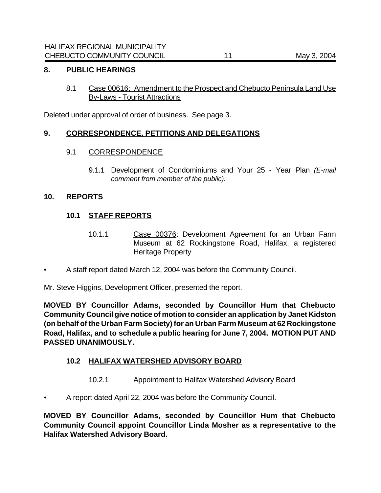### **8. PUBLIC HEARINGS**

8.1 Case 00616: Amendment to the Prospect and Chebucto Peninsula Land Use By-Laws - Tourist Attractions

Deleted under approval of order of business. See page 3.

# **9. CORRESPONDENCE, PETITIONS AND DELEGATIONS**

#### 9.1 CORRESPONDENCE

9.1.1 Development of Condominiums and Your 25 - Year Plan *(E-mail comment from member of the public).*

### **10. REPORTS**

# **10.1 STAFF REPORTS**

- 10.1.1 Case 00376: Development Agreement for an Urban Farm Museum at 62 Rockingstone Road, Halifax, a registered Heritage Property
- A staff report dated March 12, 2004 was before the Community Council.

Mr. Steve Higgins, Development Officer, presented the report.

**MOVED BY Councillor Adams, seconded by Councillor Hum that Chebucto Community Council give notice of motion to consider an application by Janet Kidston (on behalf of the Urban Farm Society) for an Urban Farm Museum at 62 Rockingstone Road, Halifax, and to schedule a public hearing for June 7, 2004. MOTION PUT AND PASSED UNANIMOUSLY.**

# **10.2 HALIFAX WATERSHED ADVISORY BOARD**

- 10.2.1 Appointment to Halifax Watershed Advisory Board
- A report dated April 22, 2004 was before the Community Council.

**MOVED BY Councillor Adams, seconded by Councillor Hum that Chebucto Community Council appoint Councillor Linda Mosher as a representative to the Halifax Watershed Advisory Board.**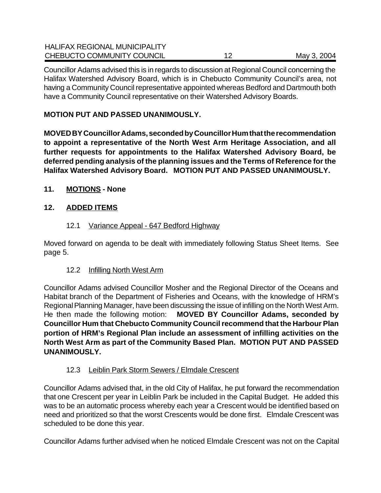| <b>HALIFAX REGIONAL MUNICIPALITY</b> |             |
|--------------------------------------|-------------|
| CHEBUCTO COMMUNITY COUNCIL           | May 3, 2004 |

Councillor Adams advised this is in regards to discussion at Regional Council concerning the Halifax Watershed Advisory Board, which is in Chebucto Community Council's area, not having a Community Council representative appointed whereas Bedford and Dartmouth both have a Community Council representative on their Watershed Advisory Boards.

# **MOTION PUT AND PASSED UNANIMOUSLY.**

**MOVED BY Councillor Adams, seconded by Councillor Hum that the recommendation to appoint a representative of the North West Arm Heritage Association, and all further requests for appointments to the Halifax Watershed Advisory Board, be deferred pending analysis of the planning issues and the Terms of Reference for the Halifax Watershed Advisory Board. MOTION PUT AND PASSED UNANIMOUSLY.**

# **11. MOTIONS - None**

# **12. ADDED ITEMS**

# 12.1 Variance Appeal - 647 Bedford Highway

Moved forward on agenda to be dealt with immediately following Status Sheet Items. See page 5.

# 12.2 Infilling North West Arm

Councillor Adams advised Councillor Mosher and the Regional Director of the Oceans and Habitat branch of the Department of Fisheries and Oceans, with the knowledge of HRM's Regional Planning Manager, have been discussing the issue of infilling on the North West Arm. He then made the following motion: **MOVED BY Councillor Adams, seconded by Councillor Hum that Chebucto Community Council recommend that the Harbour Plan portion of HRM's Regional Plan include an assessment of infilling activities on the North West Arm as part of the Community Based Plan. MOTION PUT AND PASSED UNANIMOUSLY.**

# 12.3 Leiblin Park Storm Sewers / Elmdale Crescent

Councillor Adams advised that, in the old City of Halifax, he put forward the recommendation that one Crescent per year in Leiblin Park be included in the Capital Budget. He added this was to be an automatic process whereby each year a Crescent would be identified based on need and prioritized so that the worst Crescents would be done first. Elmdale Crescent was scheduled to be done this year.

Councillor Adams further advised when he noticed Elmdale Crescent was not on the Capital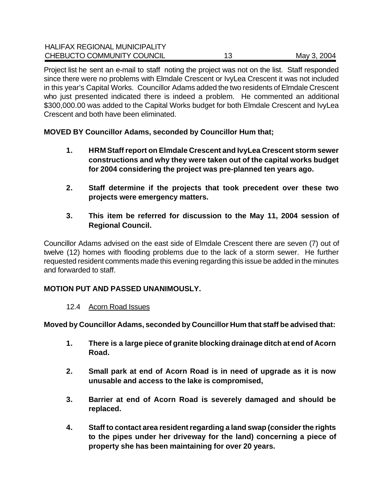| <b>HALIFAX REGIONAL MUNICIPALITY</b> |    |             |
|--------------------------------------|----|-------------|
| CHEBUCTO COMMUNITY COUNCIL           | 12 | May 3, 2004 |

Project list he sent an e-mail to staff noting the project was not on the list. Staff responded since there were no problems with Elmdale Crescent or IvyLea Crescent it was not included in this year's Capital Works. Councillor Adams added the two residents of Elmdale Crescent who just presented indicated there is indeed a problem. He commented an additional \$300,000.00 was added to the Capital Works budget for both Elmdale Crescent and IvyLea Crescent and both have been eliminated.

**MOVED BY Councillor Adams, seconded by Councillor Hum that;**

- **1. HRM Staff report on Elmdale Crescent and IvyLea Crescent storm sewer constructions and why they were taken out of the capital works budget for 2004 considering the project was pre-planned ten years ago.**
- **2. Staff determine if the projects that took precedent over these two projects were emergency matters.**
- **3. This item be referred for discussion to the May 11, 2004 session of Regional Council.**

Councillor Adams advised on the east side of Elmdale Crescent there are seven (7) out of twelve (12) homes with flooding problems due to the lack of a storm sewer. He further requested resident comments made this evening regarding this issue be added in the minutes and forwarded to staff.

# **MOTION PUT AND PASSED UNANIMOUSLY.**

12.4 Acorn Road Issues

**Moved by Councillor Adams, seconded by Councillor Hum that staff be advised that:**

- **1. There is a large piece of granite blocking drainage ditch at end of Acorn Road.**
- **2. Small park at end of Acorn Road is in need of upgrade as it is now unusable and access to the lake is compromised,**
- **3. Barrier at end of Acorn Road is severely damaged and should be replaced.**
- **4. Staff to contact area resident regarding a land swap (consider the rights to the pipes under her driveway for the land) concerning a piece of property she has been maintaining for over 20 years.**